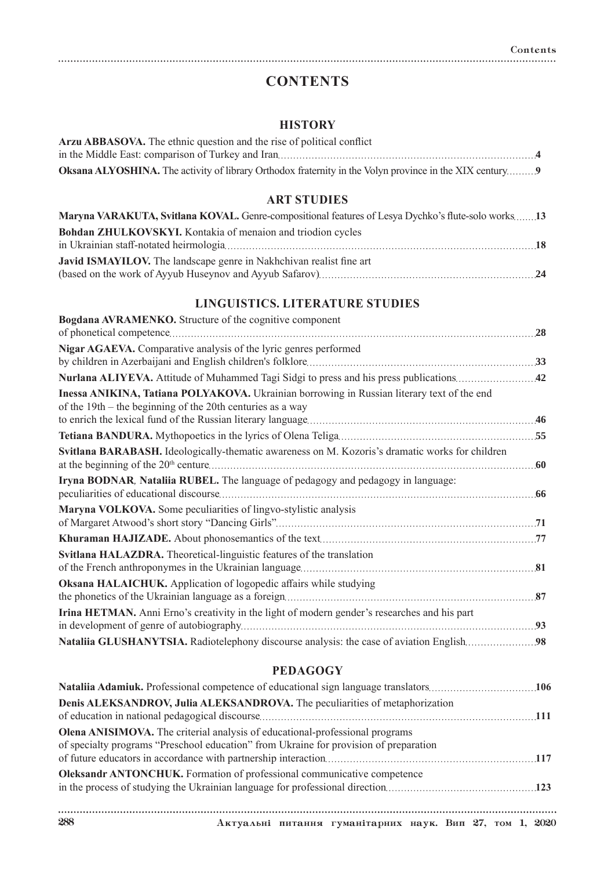# **CONTENTS**

### **HISTORY**

| Arzu ABBASOVA. The ethnic question and the rise of political conflict                                          |  |
|----------------------------------------------------------------------------------------------------------------|--|
|                                                                                                                |  |
| <b>Oksana ALYOSHINA.</b> The activity of library Orthodox fraternity in the Volyn province in the XIX century9 |  |

### **ART STUDIES**

| Maryna VARAKUTA, Svitlana KOVAL. Genre-compositional features of Lesya Dychko's flute-solo works13 |  |
|----------------------------------------------------------------------------------------------------|--|
| Bohdan ZHULKOVSKYI. Kontakia of menaion and triodion cycles                                        |  |
|                                                                                                    |  |
| <b>Javid ISMAYILOV.</b> The landscape genre in Nakhchivan realist fine art                         |  |
|                                                                                                    |  |

## **LINGUISTICS. LITERATURE STUDIES**

| Bogdana AVRAMENKO. Structure of the cognitive component                                                                                                  |    |
|----------------------------------------------------------------------------------------------------------------------------------------------------------|----|
|                                                                                                                                                          | 28 |
| <b>Nigar AGAEVA.</b> Comparative analysis of the lyric genres performed                                                                                  |    |
|                                                                                                                                                          |    |
| Inessa ANIKINA, Tatiana POLYAKOVA. Ukrainian borrowing in Russian literary text of the end<br>of the 19th – the beginning of the 20th centuries as a way |    |
|                                                                                                                                                          |    |
|                                                                                                                                                          |    |
| Svitlana BARABASH. Ideologically-thematic awareness on M. Kozoris's dramatic works for children                                                          |    |
| Iryna BODNAR, Nataliia RUBEL. The language of pedagogy and pedagogy in language:                                                                         |    |
| Maryna VOLKOVA. Some peculiarities of lingvo-stylistic analysis                                                                                          |    |
|                                                                                                                                                          |    |
| Svitlana HALAZDRA. Theoretical-linguistic features of the translation                                                                                    |    |
| Oksana HALAICHUK. Application of logopedic affairs while studying                                                                                        | 87 |
| Irina HETMAN. Anni Erno's creativity in the light of modern gender's researches and his part                                                             |    |
| Nataliia GLUSHANYTSIA. Radiotelephony discourse analysis: the case of aviation English 98                                                                |    |

#### **PEDAGOGY**

| Denis ALEKSANDROV, Julia ALEKSANDROVA. The peculiarities of metaphorization                                                                                           |  |
|-----------------------------------------------------------------------------------------------------------------------------------------------------------------------|--|
| Olena ANISIMOVA. The criterial analysis of educational-professional programs<br>of specialty programs "Preschool education" from Ukraine for provision of preparation |  |
| <b>Oleksandr ANTONCHUK.</b> Formation of professional communicative competence                                                                                        |  |